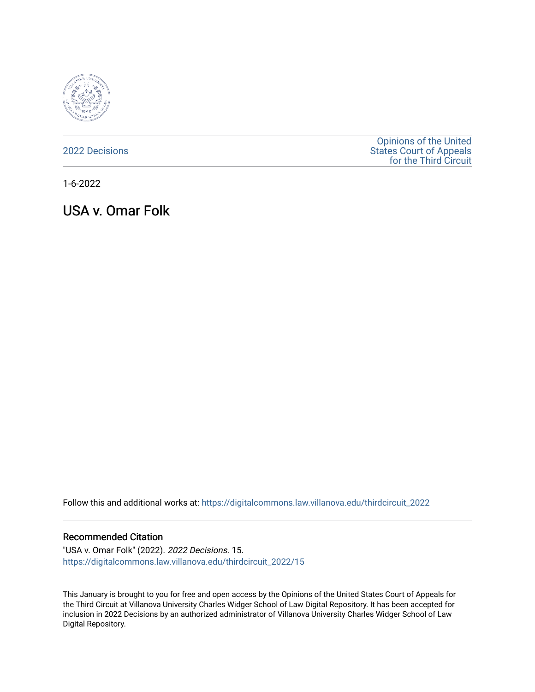

[2022 Decisions](https://digitalcommons.law.villanova.edu/thirdcircuit_2022)

[Opinions of the United](https://digitalcommons.law.villanova.edu/thirdcircuit)  [States Court of Appeals](https://digitalcommons.law.villanova.edu/thirdcircuit)  [for the Third Circuit](https://digitalcommons.law.villanova.edu/thirdcircuit) 

1-6-2022

USA v. Omar Folk

Follow this and additional works at: [https://digitalcommons.law.villanova.edu/thirdcircuit\\_2022](https://digitalcommons.law.villanova.edu/thirdcircuit_2022?utm_source=digitalcommons.law.villanova.edu%2Fthirdcircuit_2022%2F15&utm_medium=PDF&utm_campaign=PDFCoverPages) 

#### Recommended Citation

"USA v. Omar Folk" (2022). 2022 Decisions. 15. [https://digitalcommons.law.villanova.edu/thirdcircuit\\_2022/15](https://digitalcommons.law.villanova.edu/thirdcircuit_2022/15?utm_source=digitalcommons.law.villanova.edu%2Fthirdcircuit_2022%2F15&utm_medium=PDF&utm_campaign=PDFCoverPages)

This January is brought to you for free and open access by the Opinions of the United States Court of Appeals for the Third Circuit at Villanova University Charles Widger School of Law Digital Repository. It has been accepted for inclusion in 2022 Decisions by an authorized administrator of Villanova University Charles Widger School of Law Digital Repository.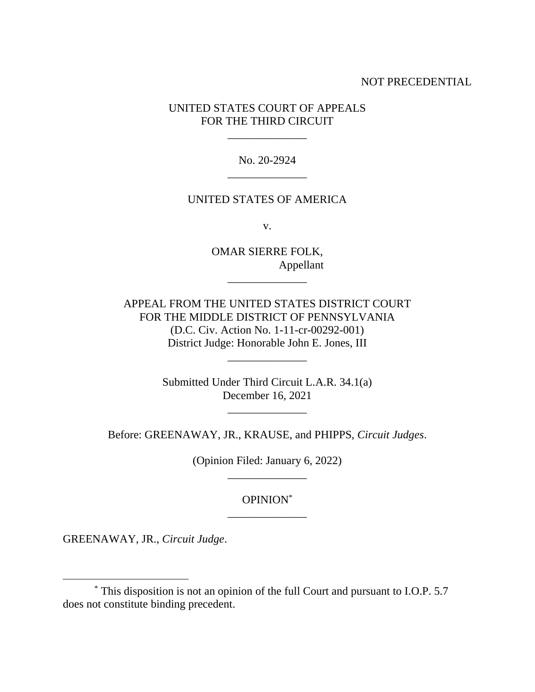### NOT PRECEDENTIAL

## UNITED STATES COURT OF APPEALS FOR THE THIRD CIRCUIT

\_\_\_\_\_\_\_\_\_\_\_\_\_\_

No. 20-2924 \_\_\_\_\_\_\_\_\_\_\_\_\_\_

#### UNITED STATES OF AMERICA

v.

OMAR SIERRE FOLK, Appellant

\_\_\_\_\_\_\_\_\_\_\_\_\_\_

APPEAL FROM THE UNITED STATES DISTRICT COURT FOR THE MIDDLE DISTRICT OF PENNSYLVANIA (D.C. Civ. Action No. 1-11-cr-00292-001) District Judge: Honorable John E. Jones, III

\_\_\_\_\_\_\_\_\_\_\_\_\_\_

Submitted Under Third Circuit L.A.R. 34.1(a) December 16, 2021

\_\_\_\_\_\_\_\_\_\_\_\_\_\_

Before: GREENAWAY, JR., KRAUSE, and PHIPPS, *Circuit Judges*.

(Opinion Filed: January 6, 2022) \_\_\_\_\_\_\_\_\_\_\_\_\_\_

# OPINION\* \_\_\_\_\_\_\_\_\_\_\_\_\_\_

GREENAWAY, JR., *Circuit Judge*.

<sup>\*</sup> This disposition is not an opinion of the full Court and pursuant to I.O.P. 5.7 does not constitute binding precedent.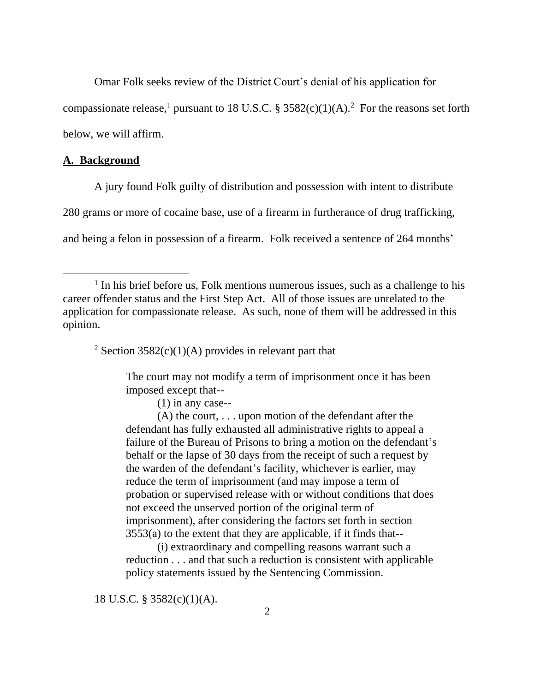Omar Folk seeks review of the District Court's denial of his application for compassionate release,<sup>1</sup> pursuant to 18 U.S.C. § 3582(c)(1)(A).<sup>2</sup> For the reasons set forth below, we will affirm.

## **A. Background**

A jury found Folk guilty of distribution and possession with intent to distribute

280 grams or more of cocaine base, use of a firearm in furtherance of drug trafficking,

and being a felon in possession of a firearm. Folk received a sentence of 264 months'

<sup>2</sup> Section 3582(c)(1)(A) provides in relevant part that

The court may not modify a term of imprisonment once it has been imposed except that--

(1) in any case--

(A) the court, . . . upon motion of the defendant after the defendant has fully exhausted all administrative rights to appeal a failure of the Bureau of Prisons to bring a motion on the defendant's behalf or the lapse of 30 days from the receipt of such a request by the warden of the defendant's facility, whichever is earlier, may reduce the term of imprisonment (and may impose a term of probation or supervised release with or without conditions that does not exceed the unserved portion of the original term of imprisonment), after considering the factors set forth in section  $3553(a)$  to the extent that they are applicable, if it finds that--

(i) extraordinary and compelling reasons warrant such a reduction . . . and that such a reduction is consistent with applicable policy statements issued by the Sentencing Commission.

18 U.S.C. § 3582(c)(1)(A).

<sup>&</sup>lt;sup>1</sup> In his brief before us, Folk mentions numerous issues, such as a challenge to his career offender status and the First Step Act. All of those issues are unrelated to the application for compassionate release. As such, none of them will be addressed in this opinion.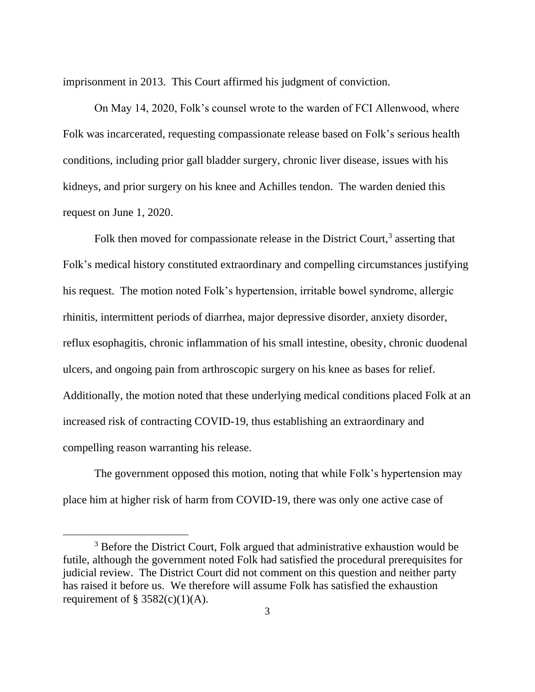imprisonment in 2013. This Court affirmed his judgment of conviction.

On May 14, 2020, Folk's counsel wrote to the warden of FCI Allenwood, where Folk was incarcerated, requesting compassionate release based on Folk's serious health conditions, including prior gall bladder surgery, chronic liver disease, issues with his kidneys, and prior surgery on his knee and Achilles tendon. The warden denied this request on June 1, 2020.

Folk then moved for compassionate release in the District Court,<sup>3</sup> asserting that Folk's medical history constituted extraordinary and compelling circumstances justifying his request. The motion noted Folk's hypertension, irritable bowel syndrome, allergic rhinitis, intermittent periods of diarrhea, major depressive disorder, anxiety disorder, reflux esophagitis, chronic inflammation of his small intestine, obesity, chronic duodenal ulcers, and ongoing pain from arthroscopic surgery on his knee as bases for relief. Additionally, the motion noted that these underlying medical conditions placed Folk at an increased risk of contracting COVID-19, thus establishing an extraordinary and compelling reason warranting his release.

The government opposed this motion, noting that while Folk's hypertension may place him at higher risk of harm from COVID-19, there was only one active case of

<sup>&</sup>lt;sup>3</sup> Before the District Court, Folk argued that administrative exhaustion would be futile, although the government noted Folk had satisfied the procedural prerequisites for judicial review. The District Court did not comment on this question and neither party has raised it before us. We therefore will assume Folk has satisfied the exhaustion requirement of § 3582(c)(1)(A).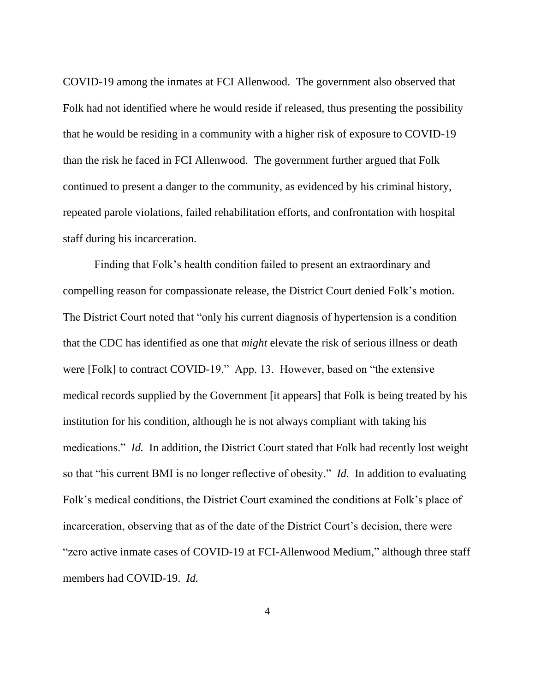COVID-19 among the inmates at FCI Allenwood. The government also observed that Folk had not identified where he would reside if released, thus presenting the possibility that he would be residing in a community with a higher risk of exposure to COVID-19 than the risk he faced in FCI Allenwood. The government further argued that Folk continued to present a danger to the community, as evidenced by his criminal history, repeated parole violations, failed rehabilitation efforts, and confrontation with hospital staff during his incarceration.

Finding that Folk's health condition failed to present an extraordinary and compelling reason for compassionate release, the District Court denied Folk's motion. The District Court noted that "only his current diagnosis of hypertension is a condition that the CDC has identified as one that *might* elevate the risk of serious illness or death were [Folk] to contract COVID-19." App. 13. However, based on "the extensive medical records supplied by the Government [it appears] that Folk is being treated by his institution for his condition, although he is not always compliant with taking his medications." *Id.* In addition, the District Court stated that Folk had recently lost weight so that "his current BMI is no longer reflective of obesity." *Id.* In addition to evaluating Folk's medical conditions, the District Court examined the conditions at Folk's place of incarceration, observing that as of the date of the District Court's decision, there were "zero active inmate cases of COVID-19 at FCI-Allenwood Medium," although three staff members had COVID-19. *Id.*

4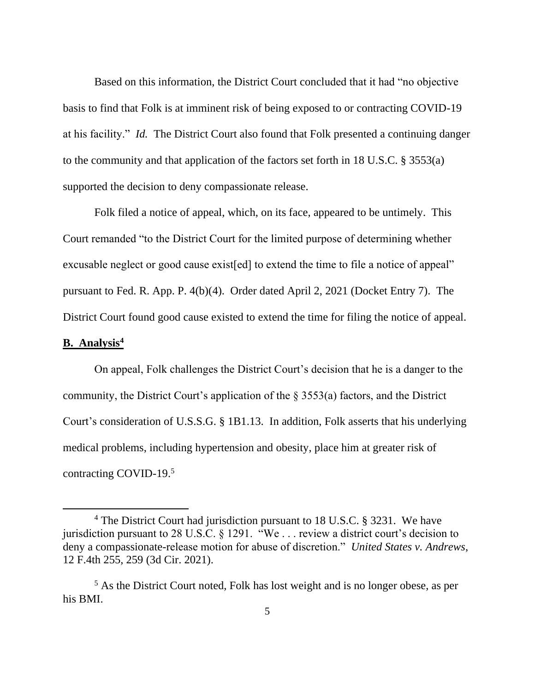Based on this information, the District Court concluded that it had "no objective basis to find that Folk is at imminent risk of being exposed to or contracting COVID-19 at his facility." *Id.* The District Court also found that Folk presented a continuing danger to the community and that application of the factors set forth in 18 U.S.C. § 3553(a) supported the decision to deny compassionate release.

Folk filed a notice of appeal, which, on its face, appeared to be untimely. This Court remanded "to the District Court for the limited purpose of determining whether excusable neglect or good cause exist [ed] to extend the time to file a notice of appeal" pursuant to Fed. R. App. P. 4(b)(4). Order dated April 2, 2021 (Docket Entry 7). The District Court found good cause existed to extend the time for filing the notice of appeal.

### **B. Analysis<sup>4</sup>**

On appeal, Folk challenges the District Court's decision that he is a danger to the community, the District Court's application of the § 3553(a) factors, and the District Court's consideration of U.S.S.G. § 1B1.13. In addition, Folk asserts that his underlying medical problems, including hypertension and obesity, place him at greater risk of contracting COVID-19. 5

<sup>&</sup>lt;sup>4</sup> The District Court had jurisdiction pursuant to 18 U.S.C. § 3231. We have jurisdiction pursuant to 28 U.S.C. § 1291. "We . . . review a district court's decision to deny a compassionate-release motion for abuse of discretion." *United States v. Andrews*, 12 F.4th 255, 259 (3d Cir. 2021).

<sup>&</sup>lt;sup>5</sup> As the District Court noted, Folk has lost weight and is no longer obese, as per his BMI.